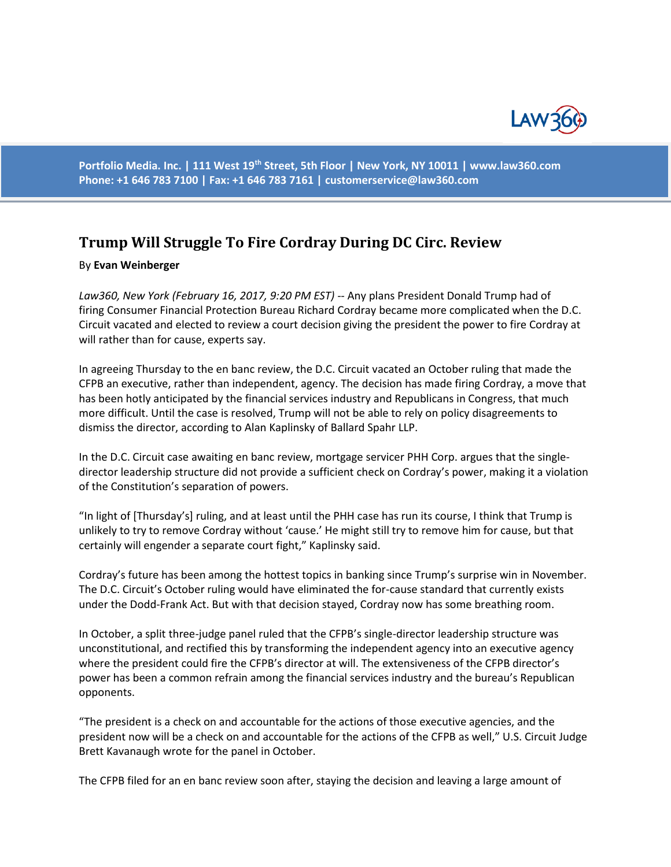

**Portfolio Media. Inc. | 111 West 19th Street, 5th Floor | New York, NY 10011 | www.law360.com Phone: +1 646 783 7100 | Fax: +1 646 783 7161 | [customerservice@law360.com](mailto:customerservice@law360.com)**

## **Trump Will Struggle To Fire Cordray During DC Circ. Review**

## By **Evan Weinberger**

*Law360, New York (February 16, 2017, 9:20 PM EST) --* Any plans President Donald Trump had of firing Consumer Financial Protection Bureau Richard Cordray became more complicated when the D.C. Circuit vacated and elected to review a court decision giving the president the power to fire Cordray at will rather than for cause, experts say.

In agreeing Thursday to the en banc review, the D.C. Circuit vacated an October ruling that made the CFPB an executive, rather than independent, agency. The decision has made firing Cordray, a move that has been hotly anticipated by the financial services industry and Republicans in Congress, that much more difficult. Until the case is resolved, Trump will not be able to rely on policy disagreements to dismiss the director, according to Alan Kaplinsky of Ballard Spahr LLP.

In the D.C. Circuit case awaiting en banc review, mortgage servicer PHH Corp. argues that the singledirector leadership structure did not provide a sufficient check on Cordray's power, making it a violation of the Constitution's separation of powers.

"In light of [Thursday's] ruling, and at least until the PHH case has run its course, I think that Trump is unlikely to try to remove Cordray without 'cause.' He might still try to remove him for cause, but that certainly will engender a separate court fight," Kaplinsky said.

Cordray's future has been among the hottest topics in banking since Trump's surprise win in November. The D.C. Circuit's October ruling would have eliminated the for-cause standard that currently exists under the Dodd-Frank Act. But with that decision stayed, Cordray now has some breathing room.

In October, a split three-judge panel ruled that the CFPB's single-director leadership structure was unconstitutional, and rectified this by transforming the independent agency into an executive agency where the president could fire the CFPB's director at will. The extensiveness of the CFPB director's power has been a common refrain among the financial services industry and the bureau's Republican opponents.

"The president is a check on and accountable for the actions of those executive agencies, and the president now will be a check on and accountable for the actions of the CFPB as well," U.S. Circuit Judge Brett Kavanaugh wrote for the panel in October.

The CFPB filed for an en banc review soon after, staying the decision and leaving a large amount of